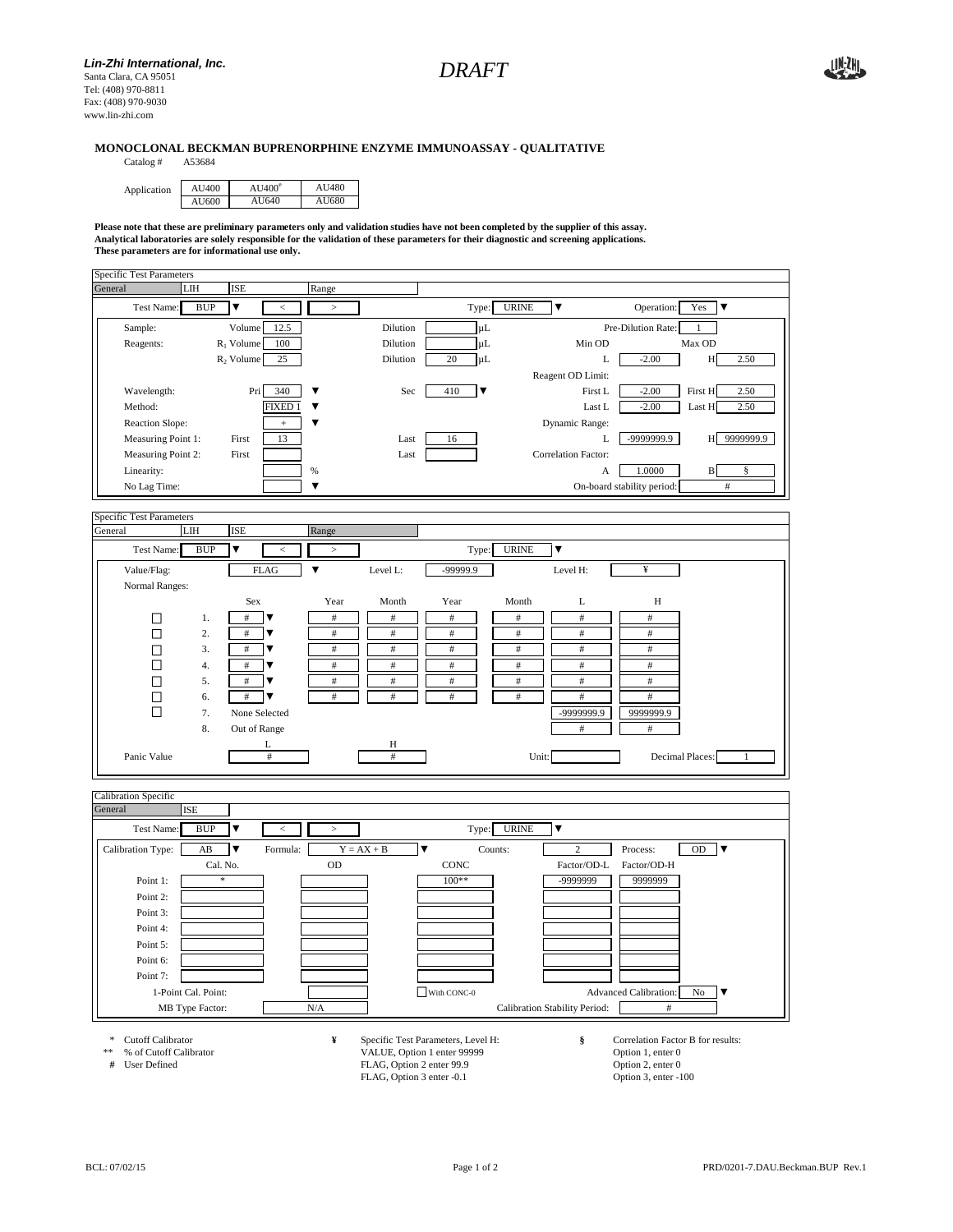

## **MONOCLONAL BECKMAN BUPRENORPHINE ENZYME IMMUNOASSAY - QUALITATIVE**

Catalog #

| Application | AU400 | $AU400^\circ$ | AU480 |
|-------------|-------|---------------|-------|
|             | AU600 | AU640         | AU680 |

**Please note that these are preliminary parameters only and validation studies have not been completed by the supplier of this assay. Analytical laboratories are solely responsible for the validation of these parameters for their diagnostic and screening applications. These parameters are for informational use only.**



**# FLAG, Option 2 enter 99.9** Option 2, enter 0<br> **# User Defined PLAG, Option 3 enter -0.1** Option 3, enter -100 FLAG, Option 3 enter -0.1